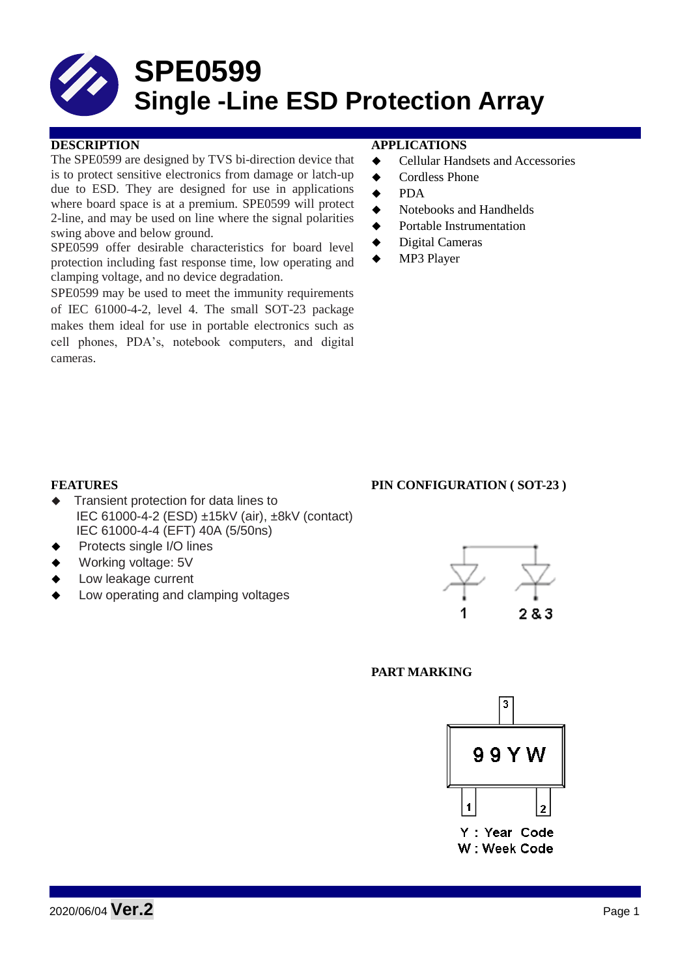# **SPE0599 Single -Line ESD Protection Array**

### **DESCRIPTION APPLICATIONS**

The SPE0599 are designed by TVS bi-direction device that is to protect sensitive electronics from damage or latch-up due to ESD. They are designed for use in applications where board space is at a premium. SPE0599 will protect 2-line, and may be used on line where the signal polarities swing above and below ground.

SPE0599 offer desirable characteristics for board level protection including fast response time, low operating and clamping voltage, and no device degradation.

SPE0599 may be used to meet the immunity requirements of IEC 61000-4-2, level 4. The small SOT-23 package makes them ideal for use in portable electronics such as cell phones, PDA's, notebook computers, and digital cameras.

- **←** Cellular Handsets and Accessories
- ◆ Cordless Phone
- $\bullet$  PDA
- Notebooks and Handhelds
- Portable Instrumentation
- ◆ Digital Cameras
- MP3 Player

- Transient protection for data lines to IEC 61000-4-2 (ESD) ±15kV (air), ±8kV (contact) IEC 61000-4-4 (EFT) 40A (5/50ns)
- Protects single I/O lines
- Working voltage: 5V
- Low leakage current
- Low operating and clamping voltages



#### **PART MARKING**



# **FEATURES** PIN CONFIGURATION (SOT-23)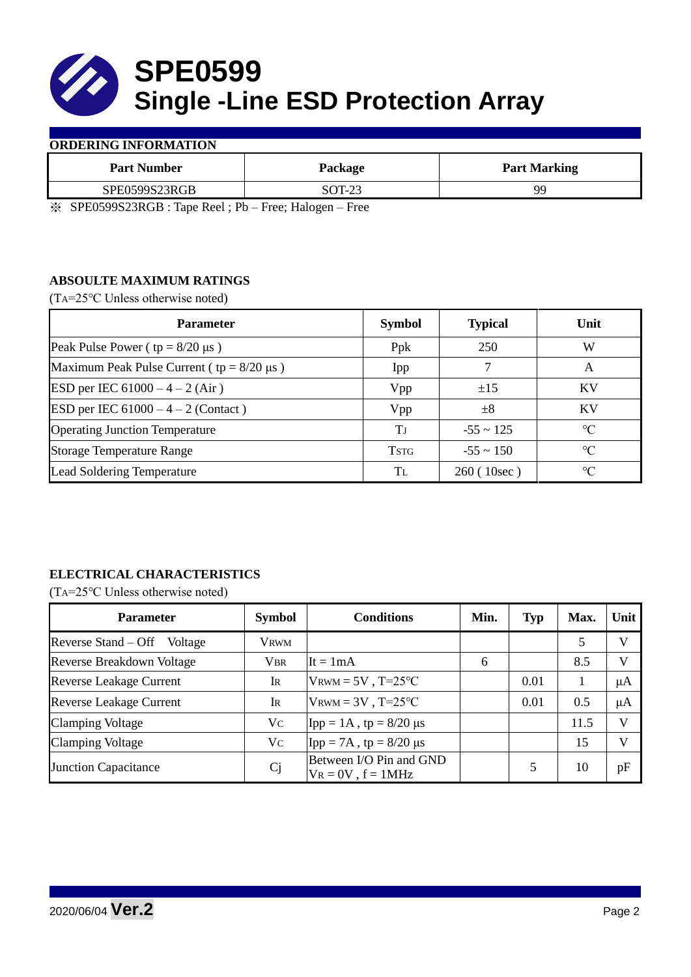

#### **ORDERING INFORMATION**

| <b>Part Number</b> | Package             | <b>Part Marking</b> |
|--------------------|---------------------|---------------------|
| SPE0599S23RGB      | SOT-23              | QC                  |
|                    | $\sim$<br>---<br>__ |                     |

※ SPE0599S23RGB : Tape Reel ; Pb – Free; Halogen – Free

### **ABSOULTE MAXIMUM RATINGS**

(TA=25℃ Unless otherwise noted)

| <b>Parameter</b>                                 | <b>Symbol</b> | <b>Typical</b> | Unit            |  |
|--------------------------------------------------|---------------|----------------|-----------------|--|
| Peak Pulse Power ( $tp = 8/20 \mu s$ )           | Ppk           | 250            | W               |  |
| Maximum Peak Pulse Current ( $tp = 8/20 \mu s$ ) | Ipp           |                | A               |  |
| ESD per IEC $61000 - 4 - 2$ (Air)                | Vpp           | ±15            | <b>KV</b>       |  |
| <b>ESD</b> per IEC $61000 - 4 - 2$ (Contact)     | Vpp           | $\pm 8$        | KV              |  |
| <b>Operating Junction Temperature</b>            | Tј            | $-55 \sim 125$ | $\rm ^{\circ}C$ |  |
| <b>Storage Temperature Range</b>                 | <b>TSTG</b>   | $-55 \sim 150$ | $\rm ^{\circ}C$ |  |
| Lead Soldering Temperature                       | Tī.           | 260 (10sec)    | $\rm ^{\circ}C$ |  |

## **ELECTRICAL CHARACTERISTICS**

(TA=25℃ Unless otherwise noted)

| <b>Parameter</b>                 | <b>Symbol</b> | <b>Conditions</b>                                  | Min. | <b>Typ</b> | Max. | Unit         |
|----------------------------------|---------------|----------------------------------------------------|------|------------|------|--------------|
| Reverse Stand – Off<br>Voltage   | <b>VRWM</b>   |                                                    |      |            | 5    | $\mathbf{V}$ |
| <b>Reverse Breakdown Voltage</b> | <b>VBR</b>    | It = $1mA$                                         | 6    |            | 8.5  | $\mathbf{V}$ |
| <b>Reverse Leakage Current</b>   | IR            | $V_{\text{RWM}} = 5V$ , T=25°C                     |      | 0.01       |      | μA           |
| <b>Reverse Leakage Current</b>   | IR            | $V_{\text{RWM}} = 3V$ , T=25°C                     |      | 0.01       | 0.5  | μA           |
| <b>Clamping Voltage</b>          | Vc            | Ipp = $1A$ , tp = $8/20 \mu s$                     |      |            | 11.5 | V            |
| <b>Clamping Voltage</b>          | Vc            | Ipp = 7A, tp = $8/20 \mu s$                        |      |            | 15   | $\mathbf{V}$ |
| <b>Junction Capacitance</b>      | Cj            | Between I/O Pin and GND<br>$V_R = 0V$ , $f = 1MHz$ |      |            | 10   | pF           |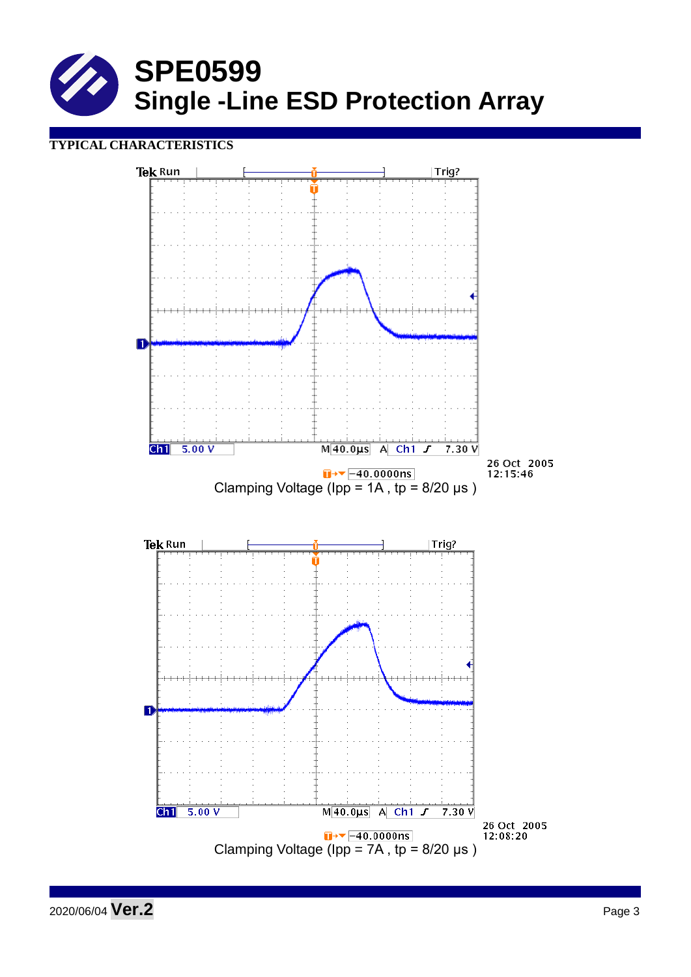

## **TYPICAL CHARACTERISTICS**



2020/06/04 **Ver.2** Page 3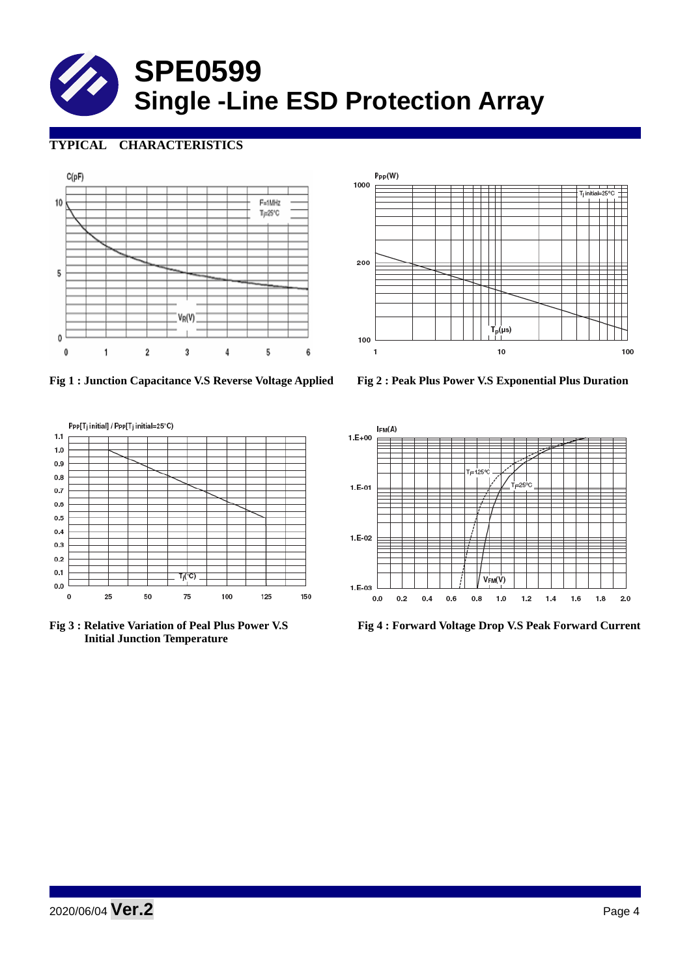# **SPE0599 Single -Line ESD Protection Array**

# **TYPICAL CHARACTERISTICS**





**Fig 1 : Junction Capacitance V.S Reverse Voltage Applied Fig 2 : Peak Plus Power V.S Exponential Plus Duration**





 **Initial Junction Temperature** 



**Fig 3 : Relative Variation of Peal Plus Power V.S Fig 4 : Forward Voltage Drop V.S Peak Forward Current**